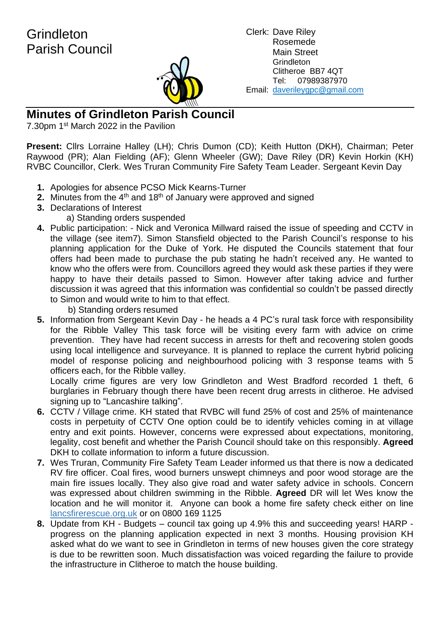**Grindleton** Parish Council



Clerk: Dave Riley Rosemede Main Street **Grindleton** Clitheroe BB7 4QT Tel: 07989387970 Email: daverileygpc@gmail.com

**Minutes of Grindleton Parish Council**

7.30pm 1<sup>st</sup> March 2022 in the Pavilion

**Present:** Cllrs Lorraine Halley (LH); Chris Dumon (CD); Keith Hutton (DKH), Chairman; Peter Raywood (PR); Alan Fielding (AF); Glenn Wheeler (GW); Dave Riley (DR) Kevin Horkin (KH) RVBC Councillor, Clerk. Wes Truran Community Fire Safety Team Leader. Sergeant Kevin Day

- **1.** Apologies for absence PCSO Mick Kearns-Turner
- **2.** Minutes from the 4<sup>th</sup> and 18<sup>th</sup> of January were approved and signed
- **3.** Declarations of Interest
	- a) Standing orders suspended
- **4.** Public participation: Nick and Veronica Millward raised the issue of speeding and CCTV in the village (see item7). Simon Stansfield objected to the Parish Council's response to his planning application for the Duke of York. He disputed the Councils statement that four offers had been made to purchase the pub stating he hadn't received any. He wanted to know who the offers were from. Councillors agreed they would ask these parties if they were happy to have their details passed to Simon. However after taking advice and further discussion it was agreed that this information was confidential so couldn't be passed directly to Simon and would write to him to that effect.

b) Standing orders resumed

**5.** Information from Sergeant Kevin Day - he heads a 4 PC's rural task force with responsibility for the Ribble Valley This task force will be visiting every farm with advice on crime prevention. They have had recent success in arrests for theft and recovering stolen goods using local intelligence and surveyance. It is planned to replace the current hybrid policing model of response policing and neighbourhood policing with 3 response teams with 5 officers each, for the Ribble valley.

Locally crime figures are very low Grindleton and West Bradford recorded 1 theft, 6 burglaries in February though there have been recent drug arrests in clitheroe. He advised signing up to "Lancashire talking".

- **6.** CCTV / Village crime. KH stated that RVBC will fund 25% of cost and 25% of maintenance costs in perpetuity of CCTV One option could be to identify vehicles coming in at village entry and exit points. However, concerns were expressed about expectations, monitoring, legality, cost benefit and whether the Parish Council should take on this responsibly. **Agreed** DKH to collate information to inform a future discussion.
- **7.** Wes Truran, Community Fire Safety Team Leader informed us that there is now a dedicated RV fire officer. Coal fires, wood burners unswept chimneys and poor wood storage are the main fire issues locally. They also give road and water safety advice in schools. Concern was expressed about children swimming in the Ribble. **Agreed** DR will let Wes know the location and he will monitor it. Anyone can book a home fire safety check either on line lancsfirerescue.org.uk or on 0800 169 1125
- **8.** Update from KH Budgets council tax going up 4.9% this and succeeding years! HARP progress on the planning application expected in next 3 months. Housing provision KH asked what do we want to see in Grindleton in terms of new houses given the core strategy is due to be rewritten soon. Much dissatisfaction was voiced regarding the failure to provide the infrastructure in Clitheroe to match the house building.